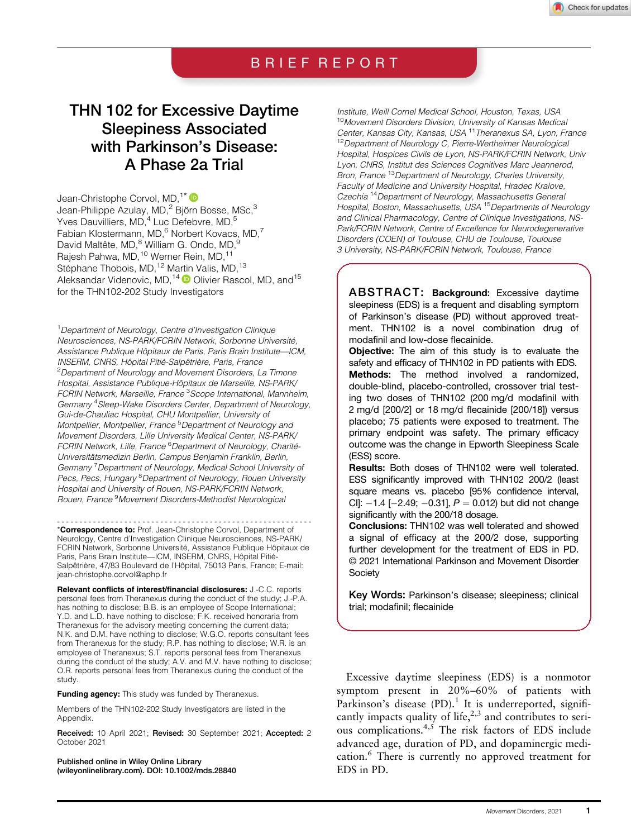### BRIEF REPORT

# THN 102 for Excessive Daytime Sleepiness Associated with Parkinson's Disease: A Phase 2a Trial

Jean-Christophe Corvol, MD.<sup>1\*</sup> Jean-Philippe Azulay, MD,<sup>2</sup> Björn Bosse, MSc,<sup>3</sup> Yves Dauvilliers, MD,<sup>4</sup> Luc Defebvre, MD,<sup>5</sup> Fabian Klostermann, MD,<sup>6</sup> Norbert Kovacs, MD,<sup>7</sup> David Maltête, MD,<sup>8</sup> William G. Ondo, MD,<sup>9</sup> Rajesh Pahwa, MD,<sup>10</sup> Werner Rein, MD,<sup>11</sup> Stéphane Thobois, MD,<sup>12</sup> Martin Valis, MD,<sup>13</sup> Aleksandar Videnovic, MD,<sup>14</sup>  $\bullet$  Olivier Rascol, MD, and<sup>15</sup> for the THN102-202 Study Investigators

<sup>1</sup> Department of Neurology, Centre d'Investigation Clinique Neurosciences, NS-PARK/FCRIN Network, Sorbonne Université, Assistance Publique Hôpitaux de Paris, Paris Brain Institute—ICM, INSERM, CNRS, Hôpital Pitié-Salpêtrière, Paris, France <sup>2</sup>Department of Neurology and Movement Disorders, La Timone Hospital, Assistance Publique-Hôpitaux de Marseille, NS-PARK/ FCRIN Network, Marseille, France<sup>3</sup>Scope International, Mannheim, Germany<sup>4</sup> Sleep-Wake Disorders Center, Department of Neurology, Gui-de-Chauliac Hospital, CHU Montpellier, University of Montpellier, Montpellier, France<sup>5</sup> Department of Neurology and Movement Disorders, Lille University Medical Center, NS-PARK/ FCRIN Network, Lille, France <sup>6</sup>Department of Neurology, Charité-Universitätsmedizin Berlin, Campus Benjamin Franklin, Berlin, Germany<sup>7</sup> Department of Neurology, Medical School University of Pecs, Pecs, Hungary<sup>8</sup> Department of Neurology, Rouen University Hospital and University of Rouen, NS-PARK/FCRIN Network, Rouen, France <sup>9</sup>Movement Disorders-Methodist Neurologica

--------------------------------------------------------- \*Correspondence to: Prof. Jean-Christophe Corvol, Department of Neurology, Centre d'Investigation Clinique Neurosciences, NS-PARK/ FCRIN Network, Sorbonne Université, Assistance Publique Hôpitaux de Paris, Paris Brain Institute—ICM, INSERM, CNRS, Hôpital Pitié-Salpêtrière, 47/83 Boulevard de l'Hôpital, 75013 Paris, France; E-mail: [jean-christophe.corvol@aphp.fr](mailto:jean-christophe.corvol@aphp.fr)

Relevant conflicts of interest/financial disclosures: J.-C.C. reports personal fees from Theranexus during the conduct of the study; J.-P.A. has nothing to disclose; B.B. is an employee of Scope International; Y.D. and L.D. have nothing to disclose; F.K. received honoraria from Theranexus for the advisory meeting concerning the current data; N.K. and D.M. have nothing to disclose; W.G.O. reports consultant fees from Theranexus for the study; R.P. has nothing to disclose; W.R. is an employee of Theranexus; S.T. reports personal fees from Theranexus during the conduct of the study; A.V. and M.V. have nothing to disclose; O.R. reports personal fees from Theranexus during the conduct of the study.

Funding agency: This study was funded by Theranexus.

Members of the THN102-202 Study Investigators are listed in the Appendix.

Received: 10 April 2021; Revised: 30 September 2021; Accepted: 2 October 2021

Published online in Wiley Online Library [\(wileyonlinelibrary.com](http://wileyonlinelibrary.com)). DOI: 10.1002/mds.28840

Institute, Weill Cornel Medical School, Houston, Texas, USA <sup>10</sup>Movement Disorders Division, University of Kansas Medical Center, Kansas City, Kansas, USA <sup>11</sup>Theranexus SA, Lyon, France <sup>12</sup>Department of Neurology C, Pierre-Wertheimer Neurological Hospital, Hospices Civils de Lyon, NS-PARK/FCRIN Network, Univ Lyon, CNRS, Institut des Sciences Cognitives Marc Jeannerod, Bron, France <sup>13</sup>Department of Neurology, Charles University, Faculty of Medicine and University Hospital, Hradec Kralove, Czechia <sup>14</sup>Department of Neurology, Massachusetts General Hospital, Boston, Massachusetts, USA<sup>15</sup>Departments of Neurology and Clinical Pharmacology, Centre of Clinique Investigations, NS-Park/FCRIN Network, Centre of Excellence for Neurodegenerative Disorders (COEN) of Toulouse, CHU de Toulouse, Toulouse 3 University, NS-PARK/FCRIN Network, Toulouse, France

ABSTRACT: Background: Excessive daytime sleepiness (EDS) is a frequent and disabling symptom of Parkinson's disease (PD) without approved treatment. THN102 is a novel combination drug of modafinil and low-dose flecainide.

Objective: The aim of this study is to evaluate the safety and efficacy of THN102 in PD patients with EDS. Methods: The method involved a randomized, double-blind, placebo-controlled, crossover trial testing two doses of THN102 (200 mg/d modafinil with 2 mg/d [200/2] or 18 mg/d flecainide [200/18]) versus placebo; 75 patients were exposed to treatment. The primary endpoint was safety. The primary efficacy outcome was the change in Epworth Sleepiness Scale (ESS) score.

Results: Both doses of THN102 were well tolerated. ESS significantly improved with THN102 200/2 (least square means vs. placebo [95% confidence interval, CI]:  $-1.4$  [ $-2.49$ ;  $-0.31$ ],  $P = 0.012$ ) but did not change significantly with the 200/18 dosage.

Conclusions: THN102 was well tolerated and showed a signal of efficacy at the 200/2 dose, supporting further development for the treatment of EDS in PD. © 2021 International Parkinson and Movement Disorder **Society** 

Key Words: Parkinson's disease; sleepiness; clinical trial; modafinil; flecainide

Excessive daytime sleepiness (EDS) is a nonmotor symptom present in 20%–60% of patients with Parkinson's disease  $(PD)$ .<sup>1</sup> It is underreported, significantly impacts quality of life, $2,3$  and contributes to serious complications. $4,5$  The risk factors of EDS include advanced age, duration of PD, and dopaminergic medication.<sup>6</sup> There is currently no approved treatment for EDS in PD.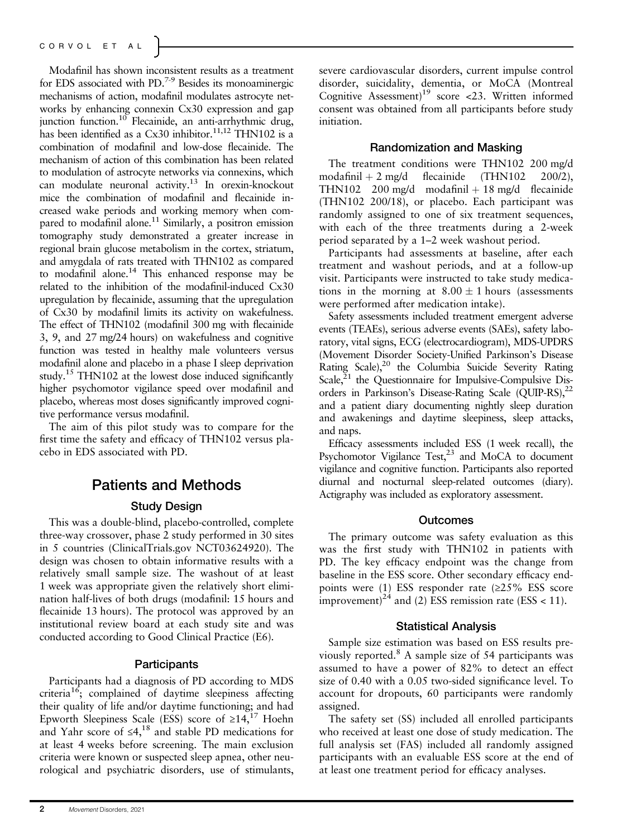Modafinil has shown inconsistent results as a treatment for EDS associated with PD.7-9 Besides its monoaminergic mechanisms of action, modafinil modulates astrocyte networks by enhancing connexin Cx30 expression and gap junction function.<sup>10</sup> Flecainide, an anti-arrhythmic drug, has been identified as a Cx30 inhibitor.<sup>11,12</sup> THN102 is a combination of modafinil and low-dose flecainide. The mechanism of action of this combination has been related to modulation of astrocyte networks via connexins, which can modulate neuronal activity.13 In orexin-knockout mice the combination of modafinil and flecainide increased wake periods and working memory when compared to modafinil alone.<sup>11</sup> Similarly, a positron emission tomography study demonstrated a greater increase in regional brain glucose metabolism in the cortex, striatum, and amygdala of rats treated with THN102 as compared to modafinil alone.<sup>14</sup> This enhanced response may be related to the inhibition of the modafinil-induced Cx30 upregulation by flecainide, assuming that the upregulation of Cx30 by modafinil limits its activity on wakefulness. The effect of THN102 (modafinil 300 mg with flecainide 3, 9, and 27 mg/24 hours) on wakefulness and cognitive function was tested in healthy male volunteers versus modafinil alone and placebo in a phase I sleep deprivation study.<sup>15</sup> THN102 at the lowest dose induced significantly higher psychomotor vigilance speed over modafinil and placebo, whereas most doses significantly improved cognitive performance versus modafinil.

The aim of this pilot study was to compare for the first time the safety and efficacy of THN102 versus placebo in EDS associated with PD.

## Patients and Methods

### Study Design

This was a double-blind, placebo-controlled, complete three-way crossover, phase 2 study performed in 30 sites in 5 countries ([ClinicalTrials.gov](http://clinicaltrials.gov) NCT03624920). The design was chosen to obtain informative results with a relatively small sample size. The washout of at least 1 week was appropriate given the relatively short elimination half-lives of both drugs (modafinil: 15 hours and flecainide 13 hours). The protocol was approved by an institutional review board at each study site and was conducted according to Good Clinical Practice (E6).

### **Participants**

Participants had a diagnosis of PD according to MDS criteria<sup>16</sup>; complained of daytime sleepiness affecting their quality of life and/or daytime functioning; and had Epworth Sleepiness Scale (ESS) score of  $\geq 14$ ,<sup>17</sup> Hoehn and Yahr score of  $\leq 4$ ,<sup>18</sup> and stable PD medications for at least 4 weeks before screening. The main exclusion criteria were known or suspected sleep apnea, other neurological and psychiatric disorders, use of stimulants,

severe cardiovascular disorders, current impulse control disorder, suicidality, dementia, or MoCA (Montreal Cognitive Assessment)<sup>19</sup> score <23. Written informed consent was obtained from all participants before study initiation.

#### Randomization and Masking

The treatment conditions were THN102 200 mg/d modafinil  $+ 2$  mg/d flecainide (THN102 200/2), THN102 200 mg/d modafinil  $+18$  mg/d flecainide (THN102 200/18), or placebo. Each participant was randomly assigned to one of six treatment sequences, with each of the three treatments during a 2-week period separated by a 1–2 week washout period.

Participants had assessments at baseline, after each treatment and washout periods, and at a follow-up visit. Participants were instructed to take study medications in the morning at  $8.00 \pm 1$  hours (assessments were performed after medication intake).

Safety assessments included treatment emergent adverse events (TEAEs), serious adverse events (SAEs), safety laboratory, vital signs, ECG (electrocardiogram), MDS-UPDRS (Movement Disorder Society-Unified Parkinson's Disease Rating Scale),<sup>20</sup> the Columbia Suicide Severity Rating Scale, $21$  the Questionnaire for Impulsive-Compulsive Disorders in Parkinson's Disease-Rating Scale (QUIP-RS),<sup>22</sup> and a patient diary documenting nightly sleep duration and awakenings and daytime sleepiness, sleep attacks, and naps.

Efficacy assessments included ESS (1 week recall), the Psychomotor Vigilance  $Test<sub>z</sub><sup>23</sup>$  and MoCA to document vigilance and cognitive function. Participants also reported diurnal and nocturnal sleep-related outcomes (diary). Actigraphy was included as exploratory assessment.

#### **Outcomes**

The primary outcome was safety evaluation as this was the first study with THN102 in patients with PD. The key efficacy endpoint was the change from baseline in the ESS score. Other secondary efficacy endpoints were (1) ESS responder rate  $(\geq 25\%$  ESS score improvement)<sup>24</sup> and (2) ESS remission rate (ESS < 11).

#### Statistical Analysis

Sample size estimation was based on ESS results previously reported. $8$  A sample size of 54 participants was assumed to have a power of 82% to detect an effect size of 0.40 with a 0.05 two-sided significance level. To account for dropouts, 60 participants were randomly assigned.

The safety set (SS) included all enrolled participants who received at least one dose of study medication. The full analysis set (FAS) included all randomly assigned participants with an evaluable ESS score at the end of at least one treatment period for efficacy analyses.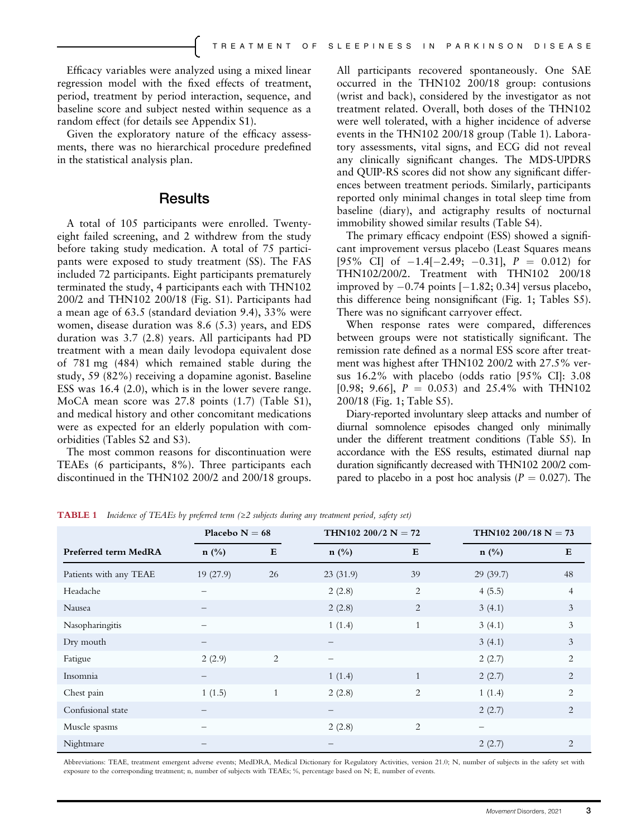Efficacy variables were analyzed using a mixed linear regression model with the fixed effects of treatment, period, treatment by period interaction, sequence, and baseline score and subject nested within sequence as a random effect (for details see Appendix S1).

Given the exploratory nature of the efficacy assessments, there was no hierarchical procedure predefined in the statistical analysis plan.

### **Results**

A total of 105 participants were enrolled. Twentyeight failed screening, and 2 withdrew from the study before taking study medication. A total of 75 participants were exposed to study treatment (SS). The FAS included 72 participants. Eight participants prematurely terminated the study, 4 participants each with THN102 200/2 and THN102 200/18 (Fig. S1). Participants had a mean age of 63.5 (standard deviation 9.4), 33% were women, disease duration was 8.6 (5.3) years, and EDS duration was 3.7 (2.8) years. All participants had PD treatment with a mean daily levodopa equivalent dose of 781 mg (484) which remained stable during the study, 59 (82%) receiving a dopamine agonist. Baseline ESS was 16.4 (2.0), which is in the lower severe range. MoCA mean score was 27.8 points (1.7) (Table S1), and medical history and other concomitant medications were as expected for an elderly population with comorbidities (Tables S2 and S3).

The most common reasons for discontinuation were TEAEs (6 participants, 8%). Three participants each discontinued in the THN102 200/2 and 200/18 groups. All participants recovered spontaneously. One SAE occurred in the THN102 200/18 group: contusions (wrist and back), considered by the investigator as not treatment related. Overall, both doses of the THN102 were well tolerated, with a higher incidence of adverse events in the THN102 200/18 group (Table 1). Laboratory assessments, vital signs, and ECG did not reveal any clinically significant changes. The MDS-UPDRS and QUIP-RS scores did not show any significant differences between treatment periods. Similarly, participants reported only minimal changes in total sleep time from baseline (diary), and actigraphy results of nocturnal immobility showed similar results (Table S4).

The primary efficacy endpoint (ESS) showed a significant improvement versus placebo (Least Squares means [95\% CI] of  $-1.4[-2.49; -0.31]$ ,  $P = 0.012$  for THN102/200/2. Treatment with THN102 200/18 improved by  $-0.74$  points  $[-1.82; 0.34]$  versus placebo, this difference being nonsignificant (Fig. 1; Tables S5). There was no significant carryover effect.

When response rates were compared, differences between groups were not statistically significant. The remission rate defined as a normal ESS score after treatment was highest after THN102 200/2 with 27.5% versus 16.2% with placebo (odds ratio [95% CI]: 3.08 [0.98; 9.66],  $P = 0.053$  and 25.4% with THN102 200/18 (Fig. 1; Table S5).

Diary-reported involuntary sleep attacks and number of diurnal somnolence episodes changed only minimally under the different treatment conditions (Table S5). In accordance with the ESS results, estimated diurnal nap duration significantly decreased with THN102 200/2 compared to placebo in a post hoc analysis ( $P = 0.027$ ). The

|                        | Placebo $N = 68$         |                | THN102 200/2 $N = 72$ |              | THN102 200/18 $N = 73$         |                |
|------------------------|--------------------------|----------------|-----------------------|--------------|--------------------------------|----------------|
| Preferred term MedRA   | $n$ (%)                  | E              | $n$ (%)               | E            | $n$ (%)                        | ${\bf E}$      |
| Patients with any TEAE | 19(27.9)                 | 26             | 23(31.9)              | 39           | 29(39.7)                       | 48             |
| Headache               | $\qquad \qquad -$        |                | 2(2.8)                | 2            | 4(5.5)                         | 4              |
| Nausea                 |                          |                | 2(2.8)                | 2            | 3(4.1)                         | 3              |
| Nasopharingitis        | $\overline{\phantom{0}}$ |                | 1(1.4)                | $\mathbf{1}$ | 3(4.1)                         | 3              |
| Dry mouth              |                          |                | $\qquad \qquad -$     |              | 3(4.1)                         | 3              |
| Fatigue                | 2(2.9)                   | $\overline{2}$ | $\qquad \qquad -$     |              | 2(2.7)                         | 2              |
| Insomnia               | $\overline{\phantom{m}}$ |                | 1(1.4)                | $\mathbf{1}$ | 2(2.7)                         | 2              |
| Chest pain             | 1(1.5)                   | $\mathbf{1}$   | 2(2.8)                | 2            | 1(1.4)                         | $\overline{2}$ |
| Confusional state      |                          |                | $\qquad \qquad -$     |              | 2(2.7)                         | 2              |
| Muscle spasms          | $\overline{\phantom{0}}$ |                | 2(2.8)                | 2            | $\qquad \qquad \longleftarrow$ |                |
| Nightmare              |                          |                |                       |              | 2(2.7)                         | 2              |

**TABLE 1** Incidence of TEAEs by preferred term  $(\geq 2$  subjects during any treatment period, safety set)

Abbreviations: TEAE, treatment emergent adverse events; MedDRA, Medical Dictionary for Regulatory Activities, version 21.0; N, number of subjects in the safety set with exposure to the corresponding treatment; n, number of subjects with TEAEs; %, percentage based on N; E, number of events.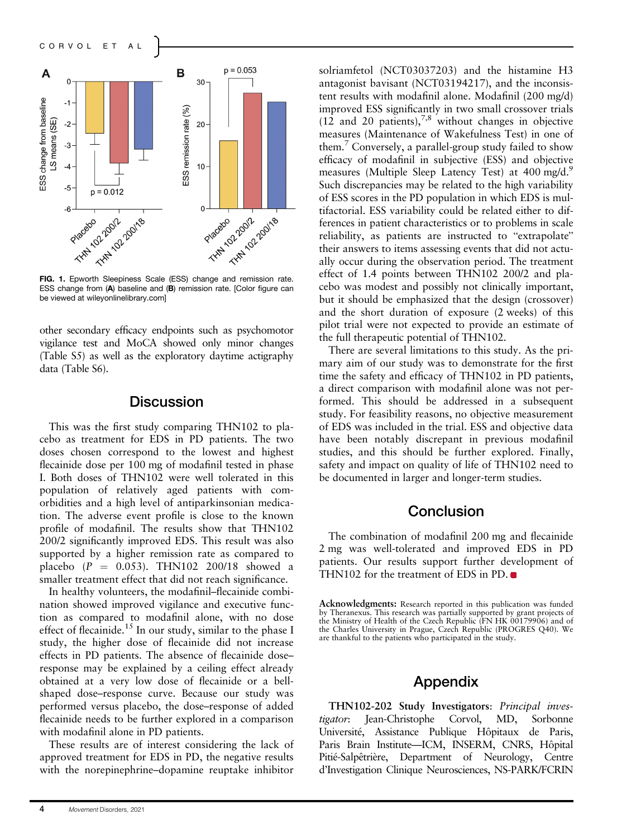

FIG. 1. Epworth Sleepiness Scale (ESS) change and remission rate. ESS change from (A) baseline and (B) remission rate. [Color figure can be viewed at [wileyonlinelibrary.com](http://wileyonlinelibrary.com)]

other secondary efficacy endpoints such as psychomotor vigilance test and MoCA showed only minor changes (Table S5) as well as the exploratory daytime actigraphy data (Table S6).

### **Discussion**

This was the first study comparing THN102 to placebo as treatment for EDS in PD patients. The two doses chosen correspond to the lowest and highest flecainide dose per 100 mg of modafinil tested in phase I. Both doses of THN102 were well tolerated in this population of relatively aged patients with comorbidities and a high level of antiparkinsonian medication. The adverse event profile is close to the known profile of modafinil. The results show that THN102 200/2 significantly improved EDS. This result was also supported by a higher remission rate as compared to placebo ( $P = 0.053$ ). THN102 200/18 showed a smaller treatment effect that did not reach significance.

In healthy volunteers, the modafinil–flecainide combination showed improved vigilance and executive function as compared to modafinil alone, with no dose effect of flecainide.<sup>15</sup> In our study, similar to the phase I study, the higher dose of flecainide did not increase effects in PD patients. The absence of flecainide dose– response may be explained by a ceiling effect already obtained at a very low dose of flecainide or a bellshaped dose–response curve. Because our study was performed versus placebo, the dose–response of added flecainide needs to be further explored in a comparison with modafinil alone in PD patients.

These results are of interest considering the lack of approved treatment for EDS in PD, the negative results with the norepinephrine–dopamine reuptake inhibitor solriamfetol (NCT03037203) and the histamine H3 antagonist bavisant (NCT03194217), and the inconsistent results with modafinil alone. Modafinil (200 mg/d) improved ESS significantly in two small crossover trials  $(12 \text{ and } 20 \text{ patients})$ ,<sup>7,8</sup> without changes in objective measures (Maintenance of Wakefulness Test) in one of them.7 Conversely, a parallel-group study failed to show efficacy of modafinil in subjective (ESS) and objective measures (Multiple Sleep Latency Test) at 400 mg/d.<sup>9</sup> Such discrepancies may be related to the high variability of ESS scores in the PD population in which EDS is multifactorial. ESS variability could be related either to differences in patient characteristics or to problems in scale reliability, as patients are instructed to "extrapolate" their answers to items assessing events that did not actually occur during the observation period. The treatment effect of 1.4 points between THN102 200/2 and placebo was modest and possibly not clinically important, but it should be emphasized that the design (crossover) and the short duration of exposure (2 weeks) of this pilot trial were not expected to provide an estimate of the full therapeutic potential of THN102.

There are several limitations to this study. As the primary aim of our study was to demonstrate for the first time the safety and efficacy of THN102 in PD patients, a direct comparison with modafinil alone was not performed. This should be addressed in a subsequent study. For feasibility reasons, no objective measurement of EDS was included in the trial. ESS and objective data have been notably discrepant in previous modafinil studies, and this should be further explored. Finally, safety and impact on quality of life of THN102 need to be documented in larger and longer-term studies.

### **Conclusion**

The combination of modafinil 200 mg and flecainide 2 mg was well-tolerated and improved EDS in PD patients. Our results support further development of THN102 for the treatment of EDS in PD.

### Appendix

THN102-202 Study Investigators: *Principal inves-<br>tigator*: Jean-Christophe Corvol, MD, Sorbonne tigator: Jean-Christophe Corvol, MD, Sorbonne Université, Assistance Publique Hôpitaux de Paris, Paris Brain Institute—ICM, INSERM, CNRS, Hôpital Pitié-Salpêtrière, Department of Neurology, Centre d'Investigation Clinique Neurosciences, NS-PARK/FCRIN

Acknowledgments: Research reported in this publication was funded by Theranexus. This research was partially supported by grant projects of the Ministry of Health of the Czech Republic (FN HK 00179906) and of the Charles University in Prague, Czech Republic (PROGRES Q40). We are thankful to the patients who participated in the study.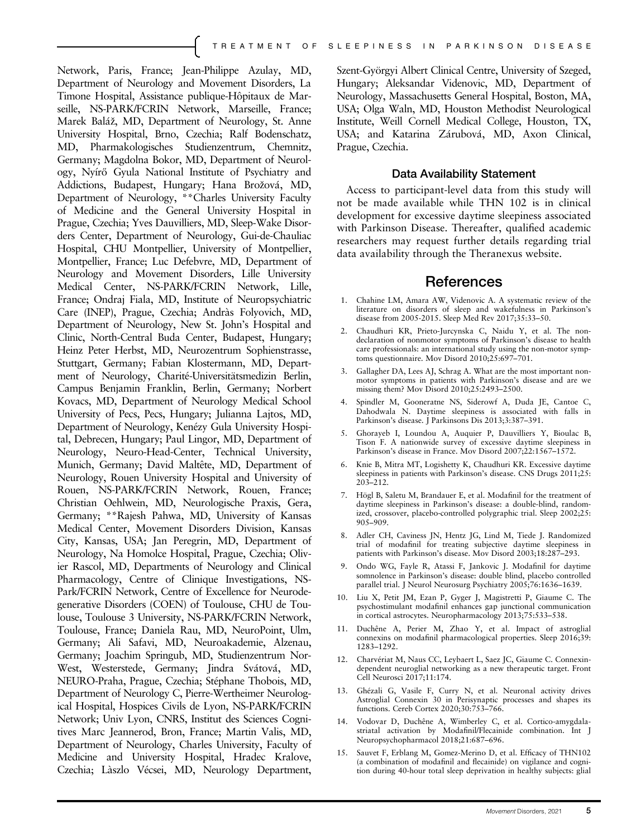Network, Paris, France; Jean-Philippe Azulay, MD, Department of Neurology and Movement Disorders, La Timone Hospital, Assistance publique-Hôpitaux de Marseille, NS-PARK/FCRIN Network, Marseille, France; Marek Baláž, MD, Department of Neurology, St. Anne University Hospital, Brno, Czechia; Ralf Bodenschatz, MD, Pharmakologisches Studienzentrum, Chemnitz, Germany; Magdolna Bokor, MD, Department of Neurology, Nyírő Gyula National Institute of Psychiatry and Addictions, Budapest, Hungary; Hana Brožová, MD, Department of Neurology, \*\*Charles University Faculty of Medicine and the General University Hospital in Prague, Czechia; Yves Dauvilliers, MD, Sleep-Wake Disorders Center, Department of Neurology, Gui-de-Chauliac Hospital, CHU Montpellier, University of Montpellier, Montpellier, France; Luc Defebvre, MD, Department of Neurology and Movement Disorders, Lille University Medical Center, NS-PARK/FCRIN Network, Lille, France; Ondraj Fiala, MD, Institute of Neuropsychiatric Care (INEP), Prague, Czechia; Andràs Folyovich, MD, Department of Neurology, New St. John's Hospital and Clinic, North-Central Buda Center, Budapest, Hungary; Heinz Peter Herbst, MD, Neurozentrum Sophienstrasse, Stuttgart, Germany; Fabian Klostermann, MD, Department of Neurology, Charité-Universitätsmedizin Berlin, Campus Benjamin Franklin, Berlin, Germany; Norbert Kovacs, MD, Department of Neurology Medical School University of Pecs, Pecs, Hungary; Julianna Lajtos, MD, Department of Neurology, Kenézy Gula University Hospital, Debrecen, Hungary; Paul Lingor, MD, Department of Neurology, Neuro-Head-Center, Technical University, Munich, Germany; David Maltête, MD, Department of Neurology, Rouen University Hospital and University of Rouen, NS-PARK/FCRIN Network, Rouen, France; Christian Oehlwein, MD, Neurologische Praxis, Gera, Germany; \*\*Rajesh Pahwa, MD, University of Kansas Medical Center, Movement Disorders Division, Kansas City, Kansas, USA; Jan Peregrin, MD, Department of Neurology, Na Homolce Hospital, Prague, Czechia; Olivier Rascol, MD, Departments of Neurology and Clinical Pharmacology, Centre of Clinique Investigations, NS-Park/FCRIN Network, Centre of Excellence for Neurodegenerative Disorders (COEN) of Toulouse, CHU de Toulouse, Toulouse 3 University, NS-PARK/FCRIN Network, Toulouse, France; Daniela Rau, MD, NeuroPoint, Ulm, Germany; Ali Safavi, MD, Neuroakademie, Alzenau, Germany; Joachim Springub, MD, Studienzentrum Nor-West, Westerstede, Germany; Jindra Svátová, MD, NEURO-Praha, Prague, Czechia; Stéphane Thobois, MD, Department of Neurology C, Pierre-Wertheimer Neurological Hospital, Hospices Civils de Lyon, NS-PARK/FCRIN Network; Univ Lyon, CNRS, Institut des Sciences Cognitives Marc Jeannerod, Bron, France; Martin Valis, MD, Department of Neurology, Charles University, Faculty of Medicine and University Hospital, Hradec Kralove, Czechia; Làszlo Vécsei, MD, Neurology Department, Szent-Györgyi Albert Clinical Centre, University of Szeged, Hungary; Aleksandar Videnovic, MD, Department of Neurology, Massachusetts General Hospital, Boston, MA, USA; Olga Waln, MD, Houston Methodist Neurological Institute, Weill Cornell Medical College, Houston, TX, USA; and Katarina Zárubová, MD, Axon Clinical, Prague, Czechia.

#### Data Availability Statement

Access to participant-level data from this study will not be made available while THN 102 is in clinical development for excessive daytime sleepiness associated with Parkinson Disease. Thereafter, qualified academic researchers may request further details regarding trial data availability through the Theranexus website.

#### **References**

- 1. Chahine LM, Amara AW, Videnovic A. A systematic review of the literature on disorders of sleep and wakefulness in Parkinson's disease from 2005-2015. Sleep Med Rev 2017;35:33–50.
- 2. Chaudhuri KR, Prieto-Jurcynska C, Naidu Y, et al. The nondeclaration of nonmotor symptoms of Parkinson's disease to health care professionals: an international study using the non-motor symptoms questionnaire. Mov Disord 2010;25:697–701.
- 3. Gallagher DA, Lees AJ, Schrag A. What are the most important nonmotor symptoms in patients with Parkinson's disease and are we missing them? Mov Disord 2010;25:2493–2500.
- 4. Spindler M, Gooneratne NS, Siderowf A, Duda JE, Cantoe C, Dahodwala N. Daytime sleepiness is associated with falls in Parkinson's disease. J Parkinsons Dis 2013;3:387–391.
- 5. Ghorayeb I, Loundou A, Auquier P, Dauvilliers Y, Bioulac B, Tison F. A nationwide survey of excessive daytime sleepiness in Parkinson's disease in France. Mov Disord 2007;22:1567–1572.
- 6. Knie B, Mitra MT, Logishetty K, Chaudhuri KR. Excessive daytime sleepiness in patients with Parkinson's disease. CNS Drugs 2011;25: 203–212.
- 7. Högl B, Saletu M, Brandauer E, et al. Modafinil for the treatment of daytime sleepiness in Parkinson's disease: a double-blind, randomized, crossover, placebo-controlled polygraphic trial. Sleep 2002;25: 905–909.
- 8. Adler CH, Caviness JN, Hentz JG, Lind M, Tiede J. Randomized trial of modafinil for treating subjective daytime sleepiness in patients with Parkinson's disease. Mov Disord 2003;18:287–293.
- 9. Ondo WG, Fayle R, Atassi F, Jankovic J. Modafinil for daytime somnolence in Parkinson's disease: double blind, placebo controlled parallel trial. J Neurol Neurosurg Psychiatry 2005;76:1636–1639.
- 10. Liu X, Petit JM, Ezan P, Gyger J, Magistretti P, Giaume C. The psychostimulant modafinil enhances gap junctional communication in cortical astrocytes. Neuropharmacology 2013;75:533–538.
- 11. Duchêne A, Perier M, Zhao Y, et al. Impact of astroglial connexins on modafinil pharmacological properties. Sleep 2016;39: 1283–1292.
- 12. Charvériat M, Naus CC, Leybaert L, Saez JC, Giaume C. Connexindependent neuroglial networking as a new therapeutic target. Front Cell Neurosci 2017;11:174.
- 13. Ghézali G, Vasile F, Curry N, et al. Neuronal activity drives Astroglial Connexin 30 in Perisynaptic processes and shapes its functions. Cereb Cortex 2020;30:753–766.
- 14. Vodovar D, Duchêne A, Wimberley C, et al. Cortico-amygdalastriatal activation by Modafinil/Flecainide combination. Int J Neuropsychopharmacol 2018;21:687–696.
- 15. Sauvet F, Erblang M, Gomez-Merino D, et al. Efficacy of THN102 (a combination of modafinil and flecainide) on vigilance and cognition during 40-hour total sleep deprivation in healthy subjects: glial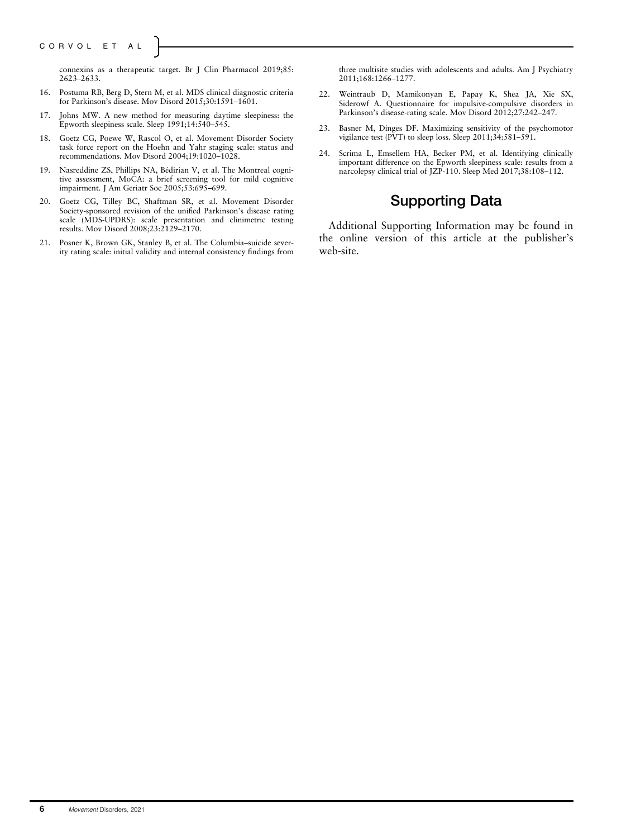connexins as a therapeutic target. Br J Clin Pharmacol 2019;85: 2623–2633.

- 16. Postuma RB, Berg D, Stern M, et al. MDS clinical diagnostic criteria for Parkinson's disease. Mov Disord 2015;30:1591–1601.
- 17. Johns MW. A new method for measuring daytime sleepiness: the Epworth sleepiness scale. Sleep 1991;14:540–545.
- 18. Goetz CG, Poewe W, Rascol O, et al. Movement Disorder Society task force report on the Hoehn and Yahr staging scale: status and recommendations. Mov Disord 2004;19:1020–1028.
- 19. Nasreddine ZS, Phillips NA, Bédirian V, et al. The Montreal cognitive assessment, MoCA: a brief screening tool for mild cognitive impairment. J Am Geriatr Soc 2005;53:695–699.
- 20. Goetz CG, Tilley BC, Shaftman SR, et al. Movement Disorder Society-sponsored revision of the unified Parkinson's disease rating scale (MDS-UPDRS): scale presentation and clinimetric testing results. Mov Disord 2008;23:2129–2170.
- 21. Posner K, Brown GK, Stanley B, et al. The Columbia–suicide severity rating scale: initial validity and internal consistency findings from

three multisite studies with adolescents and adults. Am J Psychiatry 2011;168:1266–1277.

- 22. Weintraub D, Mamikonyan E, Papay K, Shea JA, Xie SX, Siderowf A. Questionnaire for impulsive-compulsive disorders in Parkinson's disease-rating scale. Mov Disord 2012;27:242–247.
- 23. Basner M, Dinges DF. Maximizing sensitivity of the psychomotor vigilance test (PVT) to sleep loss. Sleep 2011;34:581–591.
- 24. Scrima L, Emsellem HA, Becker PM, et al. Identifying clinically important difference on the Epworth sleepiness scale: results from a narcolepsy clinical trial of JZP-110. Sleep Med 2017;38:108–112.

# Supporting Data

Additional Supporting Information may be found in the online version of this article at the publisher's web-site.